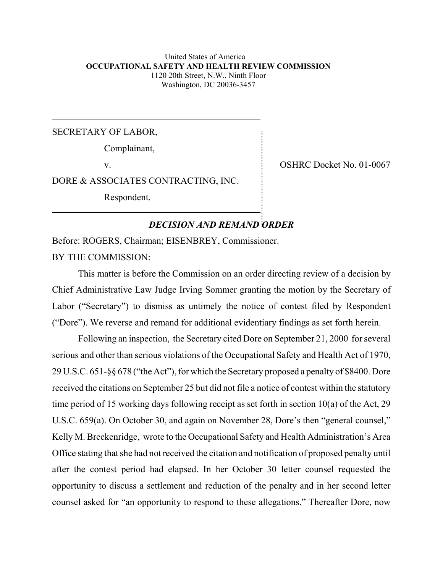#### United States of America **OCCUPATIONAL SAFETY AND HEALTH REVIEW COMMISSION** 1120 20th Street, N.W., Ninth Floor Washington, DC 20036-3457

SECRETARY OF LABOR,

Complainant,

v. Solution of the COSHRC Docket No. 01-0067

DORE & ASSOCIATES CONTRACTING, INC.

Respondent.

# *DECISION AND REMAND ORDER*

Before: ROGERS, Chairman; EISENBREY, Commissioner. BY THE COMMISSION:

This matter is before the Commission on an order directing review of a decision by Chief Administrative Law Judge Irving Sommer granting the motion by the Secretary of Labor ("Secretary") to dismiss as untimely the notice of contest filed by Respondent ("Dore"). We reverse and remand for additional evidentiary findings as set forth herein.

Following an inspection, the Secretary cited Dore on September 21, 2000 for several serious and other than serious violations of the Occupational Safety and Health Act of 1970, 29 U.S.C. 651-§§ 678 ("the Act"), for which the Secretary proposed a penalty of \$8400. Dore received the citations on September 25 but did not file a notice of contest within the statutory time period of 15 working days following receipt as set forth in section 10(a) of the Act, 29 U.S.C. 659(a). On October 30, and again on November 28, Dore's then "general counsel," Kelly M. Breckenridge, wrote to the Occupational Safety and Health Administration's Area Office stating that she had not received the citation and notification of proposed penalty until after the contest period had elapsed. In her October 30 letter counsel requested the opportunity to discuss a settlement and reduction of the penalty and in her second letter counsel asked for "an opportunity to respond to these allegations." Thereafter Dore, now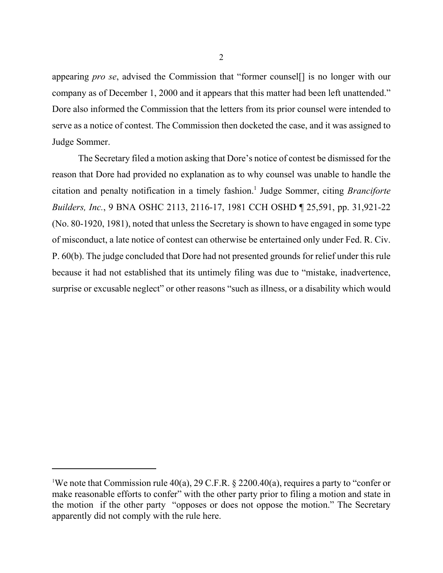appearing *pro se*, advised the Commission that "former counsel[] is no longer with our company as of December 1, 2000 and it appears that this matter had been left unattended." Dore also informed the Commission that the letters from its prior counsel were intended to serve as a notice of contest. The Commission then docketed the case, and it was assigned to Judge Sommer.

The Secretary filed a motion asking that Dore's notice of contest be dismissed for the reason that Dore had provided no explanation as to why counsel was unable to handle the citation and penalty notification in a timely fashion.<sup>1</sup> Judge Sommer, citing *Branciforte Builders, Inc.*, 9 BNA OSHC 2113, 2116-17, 1981 CCH OSHD ¶ 25,591, pp. 31,921-22 (No. 80-1920, 1981), noted that unless the Secretary is shown to have engaged in some type of misconduct, a late notice of contest can otherwise be entertained only under Fed. R. Civ. P. 60(b). The judge concluded that Dore had not presented grounds for relief under this rule because it had not established that its untimely filing was due to "mistake, inadvertence, surprise or excusable neglect" or other reasons "such as illness, or a disability which would

We note that Commission rule 40(a), 29 C.F.R.  $\S$  2200.40(a), requires a party to "confer or make reasonable efforts to confer" with the other party prior to filing a motion and state in the motion if the other party "opposes or does not oppose the motion." The Secretary apparently did not comply with the rule here.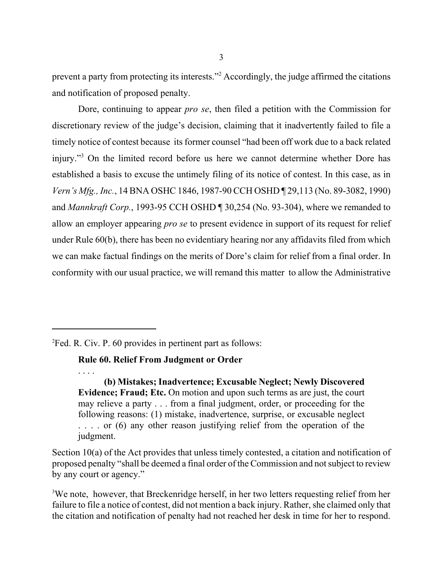prevent a party from protecting its interests."<sup>2</sup> Accordingly, the judge affirmed the citations and notification of proposed penalty.

Dore, continuing to appear *pro se*, then filed a petition with the Commission for discretionary review of the judge's decision, claiming that it inadvertently failed to file a timely notice of contest because its former counsel "had been off work due to a back related injury."3 On the limited record before us here we cannot determine whether Dore has established a basis to excuse the untimely filing of its notice of contest. In this case, as in *Vern's Mfg., Inc.*, 14 BNA OSHC 1846, 1987-90 CCH OSHD ¶ 29,113 (No. 89-3082, 1990) and *Mannkraft Corp.*, 1993-95 CCH OSHD ¶ 30,254 (No. 93-304), where we remanded to allow an employer appearing *pro se* to present evidence in support of its request for relief under Rule 60(b), there has been no evidentiary hearing nor any affidavits filed from which we can make factual findings on the merits of Dore's claim for relief from a final order. In conformity with our usual practice, we will remand this matter to allow the Administrative

2 Fed. R. Civ. P. 60 provides in pertinent part as follows:

. . . .

**Rule 60. Relief From Judgment or Order** 

**(b) Mistakes; Inadvertence; Excusable Neglect; Newly Discovered Evidence; Fraud; Etc.** On motion and upon such terms as are just, the court may relieve a party . . . from a final judgment, order, or proceeding for the following reasons: (1) mistake, inadvertence, surprise, or excusable neglect ... or (6) any other reason justifying relief from the operation of the judgment.

Section 10(a) of the Act provides that unless timely contested, a citation and notification of proposed penalty "shall be deemed a final order of the Commission and not subject to review by any court or agency."

<sup>3</sup>We note, however, that Breckenridge herself, in her two letters requesting relief from her failure to file a notice of contest, did not mention a back injury. Rather, she claimed only that the citation and notification of penalty had not reached her desk in time for her to respond.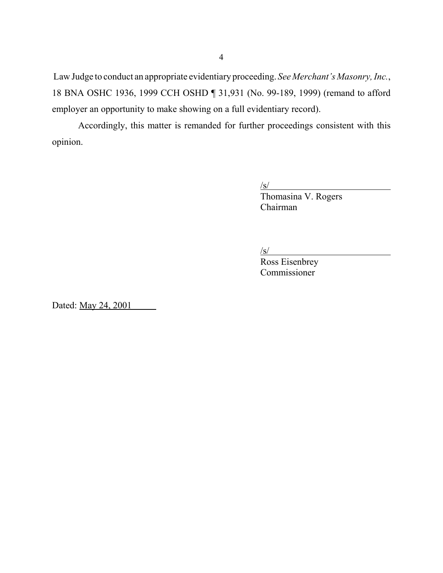Law Judge to conduct an appropriate evidentiary proceeding. *See Merchant's Masonry, Inc.*, 18 BNA OSHC 1936, 1999 CCH OSHD ¶ 31,931 (No. 99-189, 1999) (remand to afford employer an opportunity to make showing on a full evidentiary record).

Accordingly, this matter is remanded for further proceedings consistent with this opinion.

> $\sqrt{s/}$ Thomasina V. Rogers Chairman

 $\sqrt{s}$ /s/

Ross Eisenbrey Commissioner

Dated: <u>May 24, 2001</u>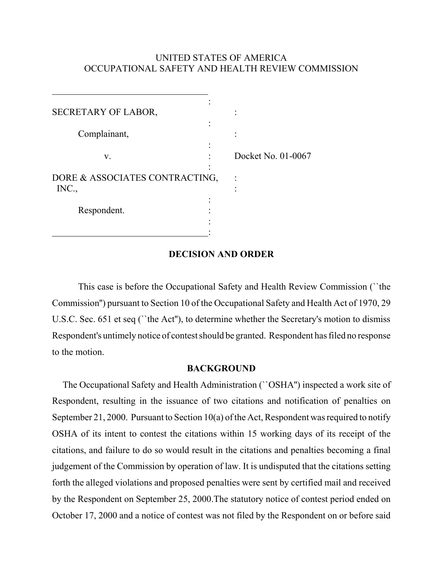# UNITED STATES OF AMERICA OCCUPATIONAL SAFETY AND HEALTH REVIEW COMMISSION

| SECRETARY OF LABOR,                     |  |                    |
|-----------------------------------------|--|--------------------|
| Complainant,                            |  |                    |
|                                         |  |                    |
| V.                                      |  | Docket No. 01-0067 |
| DORE & ASSOCIATES CONTRACTING,<br>INC., |  |                    |
| Respondent.                             |  |                    |
|                                         |  |                    |

## **DECISION AND ORDER**

This case is before the Occupational Safety and Health Review Commission (``the Commission'') pursuant to Section 10 of the Occupational Safety and Health Act of 1970, 29 U.S.C. Sec. 651 et seq (``the Act''), to determine whether the Secretary's motion to dismiss Respondent's untimely notice of contest should be granted. Respondent has filed no response to the motion.

### **BACKGROUND**

The Occupational Safety and Health Administration (``OSHA'') inspected a work site of Respondent, resulting in the issuance of two citations and notification of penalties on September 21, 2000. Pursuant to Section 10(a) of the Act, Respondent was required to notify OSHA of its intent to contest the citations within 15 working days of its receipt of the citations, and failure to do so would result in the citations and penalties becoming a final judgement of the Commission by operation of law. It is undisputed that the citations setting forth the alleged violations and proposed penalties were sent by certified mail and received by the Respondent on September 25, 2000.The statutory notice of contest period ended on October 17, 2000 and a notice of contest was not filed by the Respondent on or before said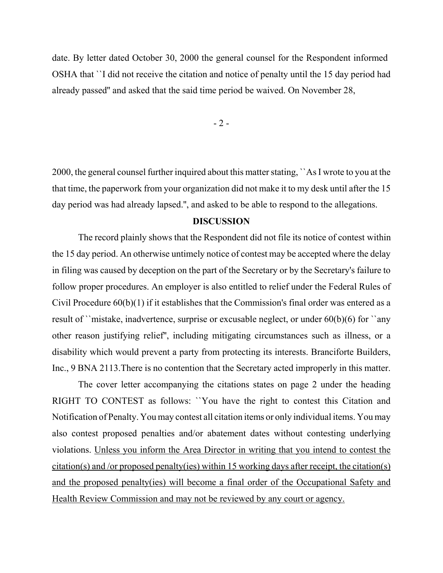date. By letter dated October 30, 2000 the general counsel for the Respondent informed OSHA that ``I did not receive the citation and notice of penalty until the 15 day period had already passed'' and asked that the said time period be waived. On November 28,

 $-2-$ 

2000, the general counsel further inquired about this matter stating, ``As I wrote to you at the that time, the paperwork from your organization did not make it to my desk until after the 15 day period was had already lapsed.'', and asked to be able to respond to the allegations.

## **DISCUSSION**

The record plainly shows that the Respondent did not file its notice of contest within the 15 day period. An otherwise untimely notice of contest may be accepted where the delay in filing was caused by deception on the part of the Secretary or by the Secretary's failure to follow proper procedures. An employer is also entitled to relief under the Federal Rules of Civil Procedure 60(b)(1) if it establishes that the Commission's final order was entered as a result of ``mistake, inadvertence, surprise or excusable neglect, or under 60(b)(6) for ``any other reason justifying relief'', including mitigating circumstances such as illness, or a disability which would prevent a party from protecting its interests. Branciforte Builders, Inc., 9 BNA 2113.There is no contention that the Secretary acted improperly in this matter.

The cover letter accompanying the citations states on page 2 under the heading RIGHT TO CONTEST as follows: ``You have the right to contest this Citation and Notification of Penalty. You may contest all citation items or only individual items. You may also contest proposed penalties and/or abatement dates without contesting underlying violations. Unless you inform the Area Director in writing that you intend to contest the citation(s) and /or proposed penalty(ies) within 15 working days after receipt, the citation(s) and the proposed penalty(ies) will become a final order of the Occupational Safety and Health Review Commission and may not be reviewed by any court or agency.